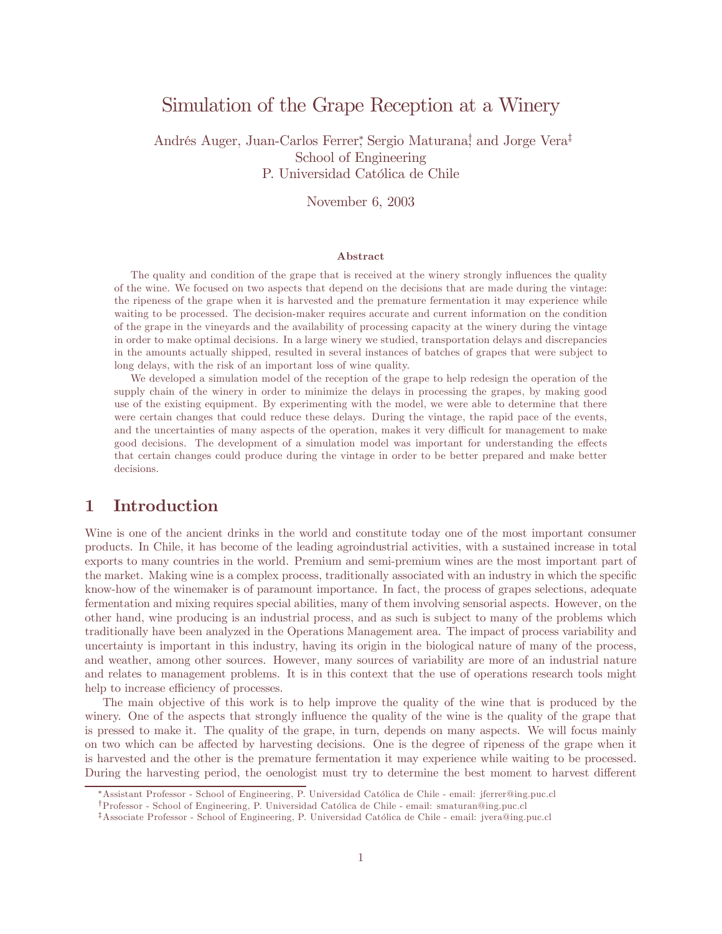# Simulation of the Grape Reception at a Winery

Andrés Auger, Juan-Carlos Ferrer, Sergio Maturana,<sup>†</sup> and Jorge Vera<sup>‡</sup> School of Engineering P. Universidad Católica de Chile

November 6, 2003

#### Abstract

The quality and condition of the grape that is received at the winery strongly influences the quality of the wine. We focused on two aspects that depend on the decisions that are made during the vintage: the ripeness of the grape when it is harvested and the premature fermentation it may experience while waiting to be processed. The decision-maker requires accurate and current information on the condition of the grape in the vineyards and the availability of processing capacity at the winery during the vintage in order to make optimal decisions. In a large winery we studied, transportation delays and discrepancies in the amounts actually shipped, resulted in several instances of batches of grapes that were subject to long delays, with the risk of an important loss of wine quality.

We developed a simulation model of the reception of the grape to help redesign the operation of the supply chain of the winery in order to minimize the delays in processing the grapes, by making good use of the existing equipment. By experimenting with the model, we were able to determine that there were certain changes that could reduce these delays. During the vintage, the rapid pace of the events, and the uncertainties of many aspects of the operation, makes it very difficult for management to make good decisions. The development of a simulation model was important for understanding the effects that certain changes could produce during the vintage in order to be better prepared and make better decisions.

# 1 Introduction

Wine is one of the ancient drinks in the world and constitute today one of the most important consumer products. In Chile, it has become of the leading agroindustrial activities, with a sustained increase in total exports to many countries in the world. Premium and semi-premium wines are the most important part of the market. Making wine is a complex process, traditionally associated with an industry in which the specific know-how of the winemaker is of paramount importance. In fact, the process of grapes selections, adequate fermentation and mixing requires special abilities, many of them involving sensorial aspects. However, on the other hand, wine producing is an industrial process, and as such is subject to many of the problems which traditionally have been analyzed in the Operations Management area. The impact of process variability and uncertainty is important in this industry, having its origin in the biological nature of many of the process, and weather, among other sources. However, many sources of variability are more of an industrial nature and relates to management problems. It is in this context that the use of operations research tools might help to increase efficiency of processes.

The main objective of this work is to help improve the quality of the wine that is produced by the winery. One of the aspects that strongly influence the quality of the wine is the quality of the grape that is pressed to make it. The quality of the grape, in turn, depends on many aspects. We will focus mainly on two which can be affected by harvesting decisions. One is the degree of ripeness of the grape when it is harvested and the other is the premature fermentation it may experience while waiting to be processed. During the harvesting period, the oenologist must try to determine the best moment to harvest different

WAssistant Professor - School of Engineering, P. Universidad Católica de Chile - email: jferrer@ing.puc.cl

<sup>†</sup>Professor - School of Engineering, P. Universidad Católica de Chile - email: smaturan@ing.puc.cl

<sup>‡</sup>Associate Professor - School of Engineering, P. Universidad Católica de Chile - email: jvera@ing.puc.cl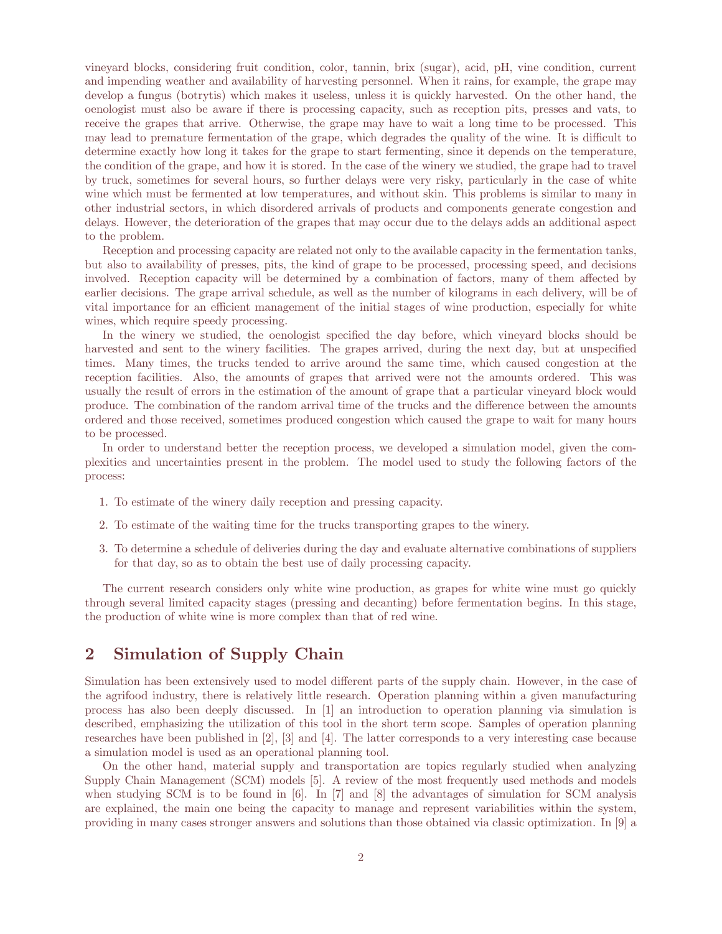vineyard blocks, considering fruit condition, color, tannin, brix (sugar), acid, pH, vine condition, current and impending weather and availability of harvesting personnel. When it rains, for example, the grape may develop a fungus (botrytis) which makes it useless, unless it is quickly harvested. On the other hand, the oenologist must also be aware if there is processing capacity, such as reception pits, presses and vats, to receive the grapes that arrive. Otherwise, the grape may have to wait a long time to be processed. This may lead to premature fermentation of the grape, which degrades the quality of the wine. It is difficult to determine exactly how long it takes for the grape to start fermenting, since it depends on the temperature, the condition of the grape, and how it is stored. In the case of the winery we studied, the grape had to travel by truck, sometimes for several hours, so further delays were very risky, particularly in the case of white wine which must be fermented at low temperatures, and without skin. This problems is similar to many in other industrial sectors, in which disordered arrivals of products and components generate congestion and delays. However, the deterioration of the grapes that may occur due to the delays adds an additional aspect to the problem.

Reception and processing capacity are related not only to the available capacity in the fermentation tanks, but also to availability of presses, pits, the kind of grape to be processed, processing speed, and decisions involved. Reception capacity will be determined by a combination of factors, many of them affected by earlier decisions. The grape arrival schedule, as well as the number of kilograms in each delivery, will be of vital importance for an efficient management of the initial stages of wine production, especially for white wines, which require speedy processing.

In the winery we studied, the oenologist specified the day before, which vineyard blocks should be harvested and sent to the winery facilities. The grapes arrived, during the next day, but at unspecified times. Many times, the trucks tended to arrive around the same time, which caused congestion at the reception facilities. Also, the amounts of grapes that arrived were not the amounts ordered. This was usually the result of errors in the estimation of the amount of grape that a particular vineyard block would produce. The combination of the random arrival time of the trucks and the difference between the amounts ordered and those received, sometimes produced congestion which caused the grape to wait for many hours to be processed.

In order to understand better the reception process, we developed a simulation model, given the complexities and uncertainties present in the problem. The model used to study the following factors of the process:

- 1. To estimate of the winery daily reception and pressing capacity.
- 2. To estimate of the waiting time for the trucks transporting grapes to the winery.
- 3. To determine a schedule of deliveries during the day and evaluate alternative combinations of suppliers for that day, so as to obtain the best use of daily processing capacity.

The current research considers only white wine production, as grapes for white wine must go quickly through several limited capacity stages (pressing and decanting) before fermentation begins. In this stage, the production of white wine is more complex than that of red wine.

# 2 Simulation of Supply Chain

Simulation has been extensively used to model different parts of the supply chain. However, in the case of the agrifood industry, there is relatively little research. Operation planning within a given manufacturing process has also been deeply discussed. In [1] an introduction to operation planning via simulation is described, emphasizing the utilization of this tool in the short term scope. Samples of operation planning researches have been published in [2], [3] and [4]. The latter corresponds to a very interesting case because a simulation model is used as an operational planning tool.

On the other hand, material supply and transportation are topics regularly studied when analyzing Supply Chain Management (SCM) models [5]. A review of the most frequently used methods and models when studying SCM is to be found in [6]. In [7] and [8] the advantages of simulation for SCM analysis are explained, the main one being the capacity to manage and represent variabilities within the system, providing in many cases stronger answers and solutions than those obtained via classic optimization. In [9] a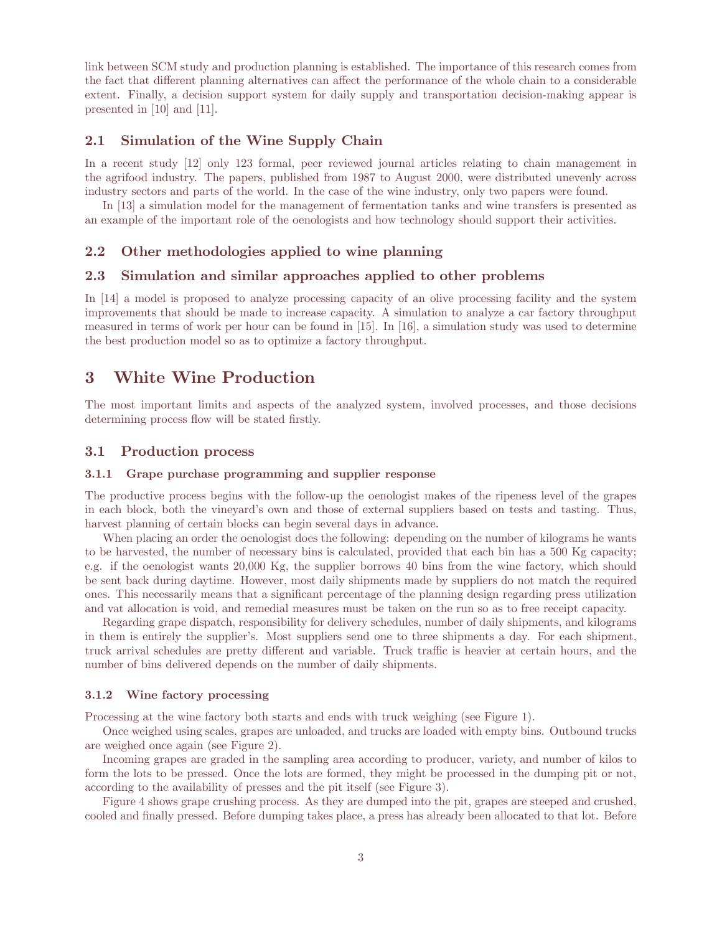link between SCM study and production planning is established. The importance of this research comes from the fact that different planning alternatives can affect the performance of the whole chain to a considerable extent. Finally, a decision support system for daily supply and transportation decision-making appear is presented in [10] and [11].

### 2.1 Simulation of the Wine Supply Chain

In a recent study [12] only 123 formal, peer reviewed journal articles relating to chain management in the agrifood industry. The papers, published from 1987 to August 2000, were distributed unevenly across industry sectors and parts of the world. In the case of the wine industry, only two papers were found.

In [13] a simulation model for the management of fermentation tanks and wine transfers is presented as an example of the important role of the oenologists and how technology should support their activities.

### 2.2 Other methodologies applied to wine planning

### 2.3 Simulation and similar approaches applied to other problems

In [14] a model is proposed to analyze processing capacity of an olive processing facility and the system improvements that should be made to increase capacity. A simulation to analyze a car factory throughput measured in terms of work per hour can be found in [15]. In [16], a simulation study was used to determine the best production model so as to optimize a factory throughput.

# 3 White Wine Production

The most important limits and aspects of the analyzed system, involved processes, and those decisions determining process flow will be stated firstly.

#### 3.1 Production process

### 3.1.1 Grape purchase programming and supplier response

The productive process begins with the follow-up the oenologist makes of the ripeness level of the grapes in each block, both the vineyard's own and those of external suppliers based on tests and tasting. Thus, harvest planning of certain blocks can begin several days in advance.

When placing an order the oenologist does the following: depending on the number of kilograms he wants to be harvested, the number of necessary bins is calculated, provided that each bin has a 500 Kg capacity; e.g. if the oenologist wants 20,000 Kg, the supplier borrows 40 bins from the wine factory, which should be sent back during daytime. However, most daily shipments made by suppliers do not match the required ones. This necessarily means that a significant percentage of the planning design regarding press utilization and vat allocation is void, and remedial measures must be taken on the run so as to free receipt capacity.

Regarding grape dispatch, responsibility for delivery schedules, number of daily shipments, and kilograms in them is entirely the supplier's. Most suppliers send one to three shipments a day. For each shipment, truck arrival schedules are pretty different and variable. Truck traffic is heavier at certain hours, and the number of bins delivered depends on the number of daily shipments.

### 3.1.2 Wine factory processing

Processing at the wine factory both starts and ends with truck weighing (see Figure 1).

Once weighed using scales, grapes are unloaded, and trucks are loaded with empty bins. Outbound trucks are weighed once again (see Figure 2).

Incoming grapes are graded in the sampling area according to producer, variety, and number of kilos to form the lots to be pressed. Once the lots are formed, they might be processed in the dumping pit or not, according to the availability of presses and the pit itself (see Figure 3).

Figure 4 shows grape crushing process. As they are dumped into the pit, grapes are steeped and crushed, cooled and finally pressed. Before dumping takes place, a press has already been allocated to that lot. Before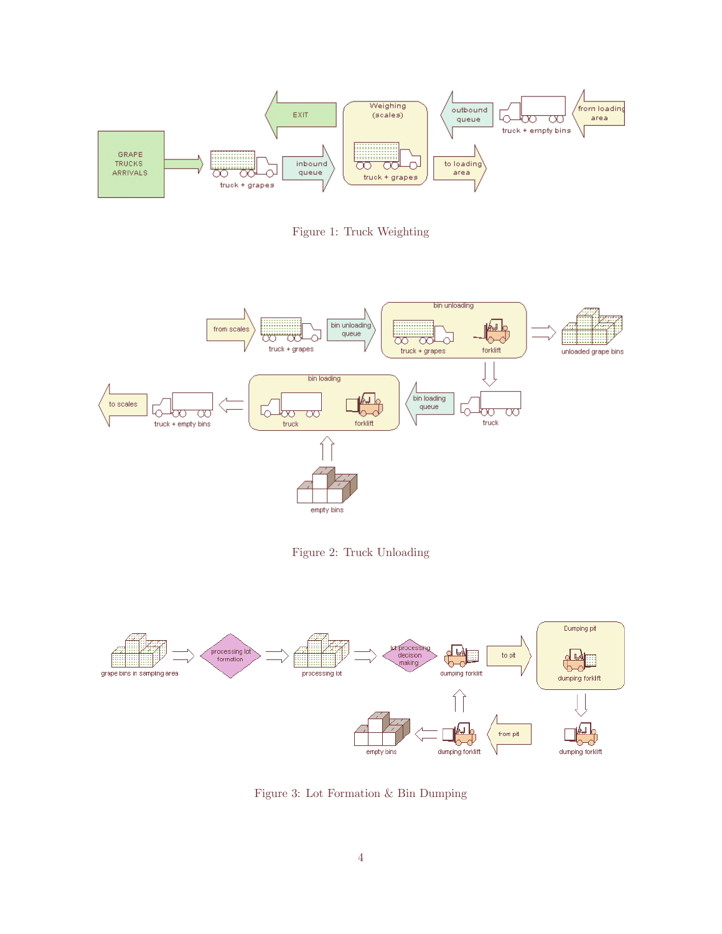

Figure 1: Truck Weighting



Figure 2: Truck Unloading



Figure 3: Lot Formation & Bin Dumping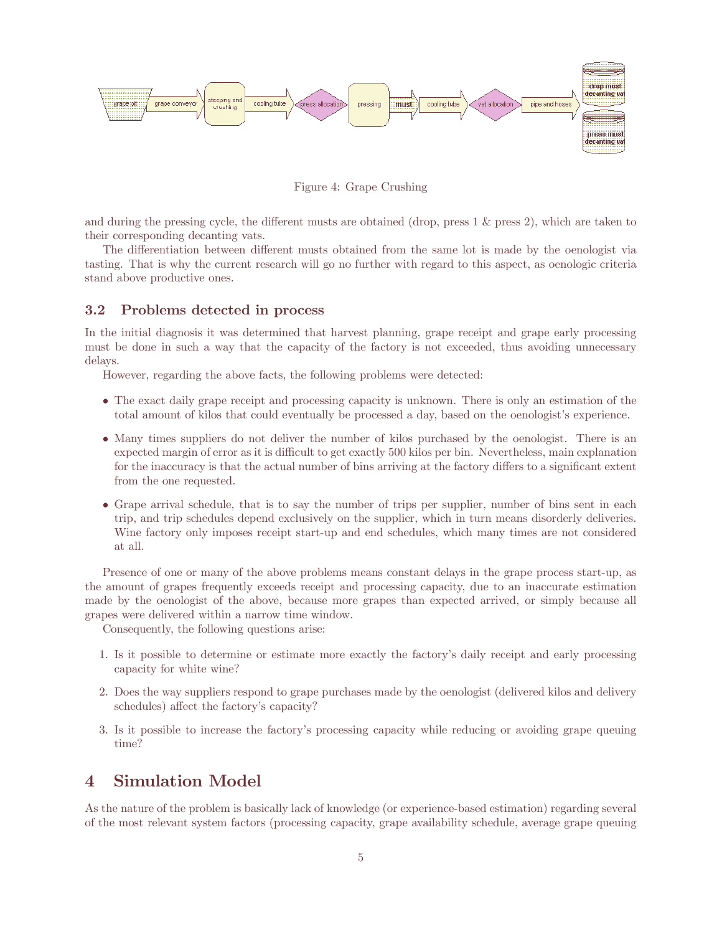

Figure 4: Grape Crushing

and during the pressing cycle, the different musts are obtained (drop, press  $1 \&$  press  $2$ ), which are taken to their corresponding decanting vats.

The differentiation between different musts obtained from the same lot is made by the oenologist via tasting. That is why the current research will go no further with regard to this aspect, as oenologic criteria stand above productive ones.

## 3.2 Problems detected in process

In the initial diagnosis it was determined that harvest planning, grape receipt and grape early processing must be done in such a way that the capacity of the factory is not exceeded, thus avoiding unnecessary delays.

However, regarding the above facts, the following problems were detected:

- The exact daily grape receipt and processing capacity is unknown. There is only an estimation of the total amount of kilos that could eventually be processed a day, based on the oenologist's experience.
- Many times suppliers do not deliver the number of kilos purchased by the oenologist. There is an expected margin of error as it is difficult to get exactly 500 kilos per bin. Nevertheless, main explanation for the inaccuracy is that the actual number of bins arriving at the factory differs to a significant extent from the one requested.
- Grape arrival schedule, that is to say the number of trips per supplier, number of bins sent in each trip, and trip schedules depend exclusively on the supplier, which in turn means disorderly deliveries. Wine factory only imposes receipt start-up and end schedules, which many times are not considered at all.

Presence of one or many of the above problems means constant delays in the grape process start-up, as the amount of grapes frequently exceeds receipt and processing capacity, due to an inaccurate estimation made by the oenologist of the above, because more grapes than expected arrived, or simply because all grapes were delivered within a narrow time window.

Consequently, the following questions arise:

- 1. Is it possible to determine or estimate more exactly the factory's daily receipt and early processing capacity for white wine?
- 2. Does the way suppliers respond to grape purchases made by the oenologist (delivered kilos and delivery schedules) affect the factory's capacity?
- 3. Is it possible to increase the factory's processing capacity while reducing or avoiding grape queuing time?

# 4 Simulation Model

As the nature of the problem is basically lack of knowledge (or experience-based estimation) regarding several of the most relevant system factors (processing capacity, grape availability schedule, average grape queuing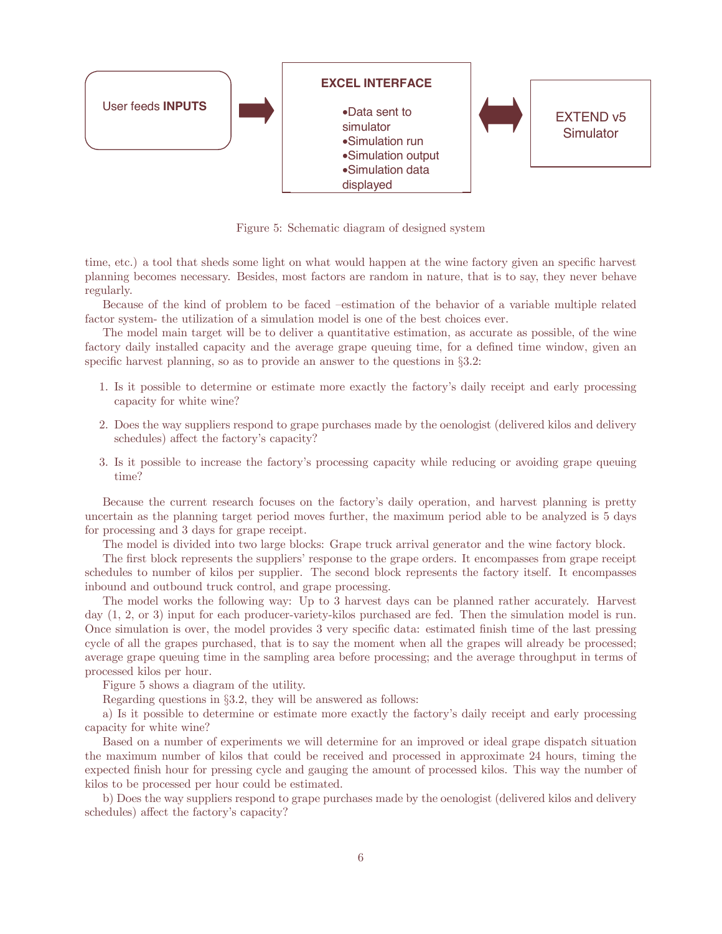

Figure 5: Schematic diagram of designed system

time, etc.) a tool that sheds some light on what would happen at the wine factory given an specific harvest planning becomes necessary. Besides, most factors are random in nature, that is to say, they never behave regularly.

Because of the kind of problem to be faced —estimation of the behavior of a variable multiple related factor system- the utilization of a simulation model is one of the best choices ever.

The model main target will be to deliver a quantitative estimation, as accurate as possible, of the wine factory daily installed capacity and the average grape queuing time, for a defined time window, given an specific harvest planning, so as to provide an answer to the questions in  $\S 3.2$ :

- 1. Is it possible to determine or estimate more exactly the factory's daily receipt and early processing capacity for white wine?
- 2. Does the way suppliers respond to grape purchases made by the oenologist (delivered kilos and delivery schedules) affect the factory's capacity?
- 3. Is it possible to increase the factory's processing capacity while reducing or avoiding grape queuing time?

Because the current research focuses on the factory's daily operation, and harvest planning is pretty uncertain as the planning target period moves further, the maximum period able to be analyzed is 5 days for processing and 3 days for grape receipt.

The model is divided into two large blocks: Grape truck arrival generator and the wine factory block.

The first block represents the suppliers' response to the grape orders. It encompasses from grape receipt schedules to number of kilos per supplier. The second block represents the factory itself. It encompasses inbound and outbound truck control, and grape processing.

The model works the following way: Up to 3 harvest days can be planned rather accurately. Harvest day (1, 2, or 3) input for each producer-variety-kilos purchased are fed. Then the simulation model is run. Once simulation is over, the model provides 3 very specific data: estimated finish time of the last pressing cycle of all the grapes purchased, that is to say the moment when all the grapes will already be processed; average grape queuing time in the sampling area before processing; and the average throughput in terms of processed kilos per hour.

Figure 5 shows a diagram of the utility.

Regarding questions in §3.2, they will be answered as follows:

a) Is it possible to determine or estimate more exactly the factory's daily receipt and early processing capacity for white wine?

Based on a number of experiments we will determine for an improved or ideal grape dispatch situation the maximum number of kilos that could be received and processed in approximate 24 hours, timing the expected finish hour for pressing cycle and gauging the amount of processed kilos. This way the number of kilos to be processed per hour could be estimated.

b) Does the way suppliers respond to grape purchases made by the oenologist (delivered kilos and delivery schedules) affect the factory's capacity?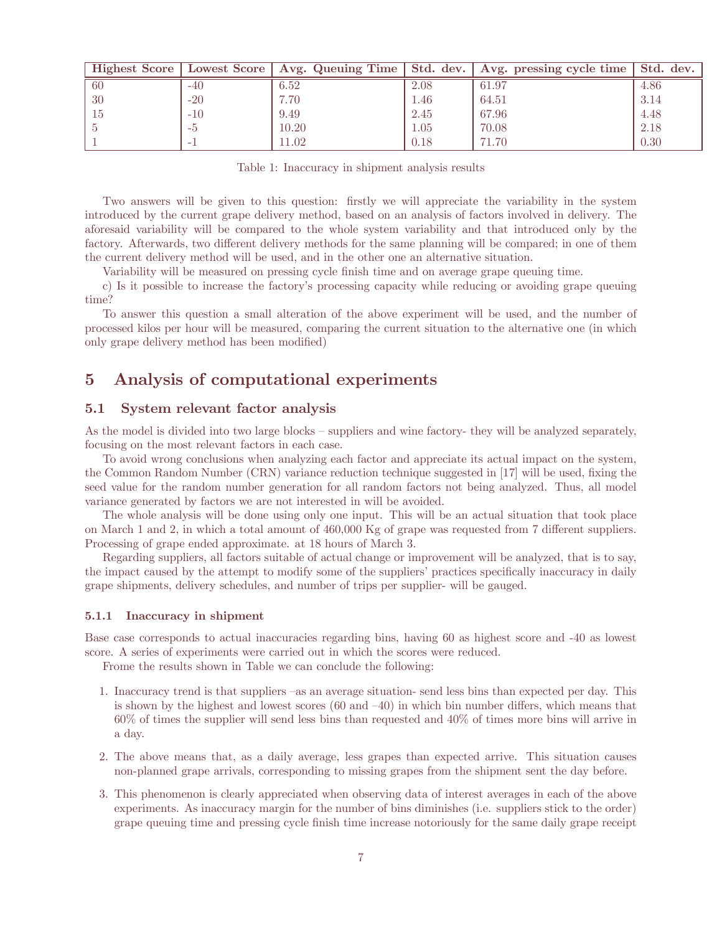|     |       | Highest Score   Lowest Score   Avg. Queuing Time | Std. dev. | Avg. pressing cycle time | Std. dev. |
|-----|-------|--------------------------------------------------|-----------|--------------------------|-----------|
| -60 | $-40$ | 6.52                                             | 2.08      | 61.97                    | 4.86      |
| 30  | $-20$ | 7.70                                             | 1.46      | 64.51                    | 3.14      |
| 15  | $-10$ | 9.49                                             | 2.45      | 67.96                    | 4.48      |
|     | $-i$  | 10.20                                            | 1.05      | 70.08                    | 2.18      |
|     | -     | 11.02                                            | 0.18      | 71.70                    | 0.30      |

Table 1: Inaccuracy in shipment analysis results

Two answers will be given to this question: firstly we will appreciate the variability in the system introduced by the current grape delivery method, based on an analysis of factors involved in delivery. The aforesaid variability will be compared to the whole system variability and that introduced only by the factory. Afterwards, two different delivery methods for the same planning will be compared; in one of them the current delivery method will be used, and in the other one an alternative situation.

Variability will be measured on pressing cycle finish time and on average grape queuing time.

c) Is it possible to increase the factory's processing capacity while reducing or avoiding grape queuing time?

To answer this question a small alteration of the above experiment will be used, and the number of processed kilos per hour will be measured, comparing the current situation to the alternative one (in which only grape delivery method has been modified)

# 5 Analysis of computational experiments

## 5.1 System relevant factor analysis

As the model is divided into two large blocks — suppliers and wine factory- they will be analyzed separately, focusing on the most relevant factors in each case.

To avoid wrong conclusions when analyzing each factor and appreciate its actual impact on the system, the Common Random Number (CRN) variance reduction technique suggested in [17] will be used, fixing the seed value for the random number generation for all random factors not being analyzed. Thus, all model variance generated by factors we are not interested in will be avoided.

The whole analysis will be done using only one input. This will be an actual situation that took place on March 1 and 2, in which a total amount of  $460,000$  Kg of grape was requested from 7 different suppliers. Processing of grape ended approximate. at 18 hours of March 3.

Regarding suppliers, all factors suitable of actual change or improvement will be analyzed, that is to say, the impact caused by the attempt to modify some of the suppliers' practices specifically inaccuracy in daily grape shipments, delivery schedules, and number of trips per supplier- will be gauged.

### 5.1.1 Inaccuracy in shipment

Base case corresponds to actual inaccuracies regarding bins, having 60 as highest score and -40 as lowest score. A series of experiments were carried out in which the scores were reduced.

Frome the results shown in Table we can conclude the following:

- 1. Inaccuracy trend is that suppliers —as an average situation- send less bins than expected per day. This is shown by the highest and lowest scores  $(60 \text{ and } -40)$  in which bin number differs, which means that 60% of times the supplier will send less bins than requested and 40% of times more bins will arrive in a day.
- 2. The above means that, as a daily average, less grapes than expected arrive. This situation causes non-planned grape arrivals, corresponding to missing grapes from the shipment sent the day before.
- 3. This phenomenon is clearly appreciated when observing data of interest averages in each of the above experiments. As inaccuracy margin for the number of bins diminishes (i.e. suppliers stick to the order) grape queuing time and pressing cycle finish time increase notoriously for the same daily grape receipt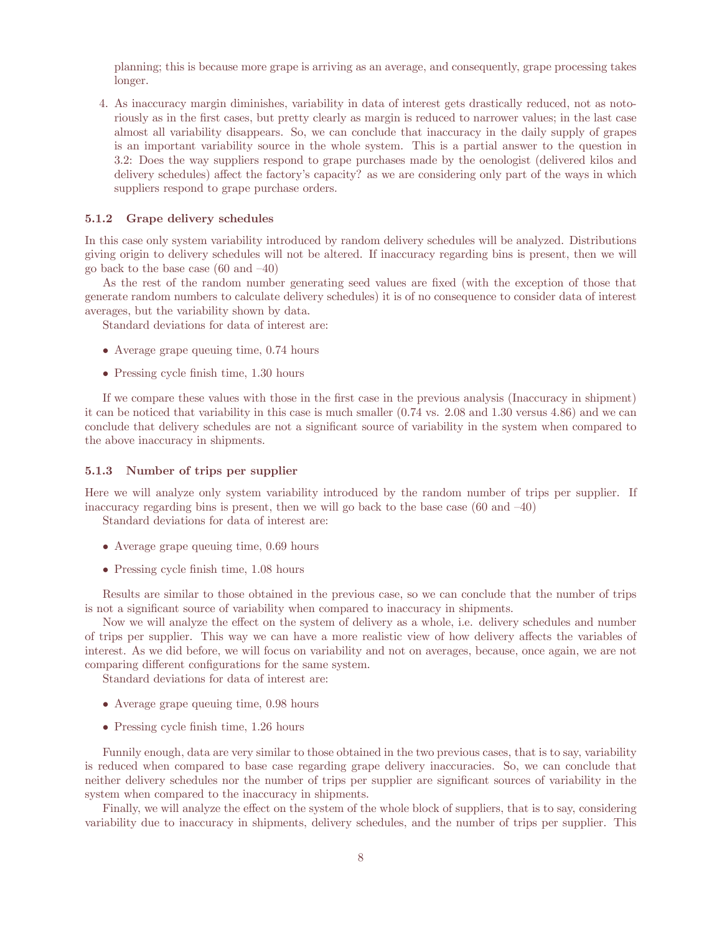planning; this is because more grape is arriving as an average, and consequently, grape processing takes longer.

4. As inaccuracy margin diminishes, variability in data of interest gets drastically reduced, not as notoriously as in the first cases, but pretty clearly as margin is reduced to narrower values; in the last case almost all variability disappears. So, we can conclude that inaccuracy in the daily supply of grapes is an important variability source in the whole system. This is a partial answer to the question in 3.2: Does the way suppliers respond to grape purchases made by the oenologist (delivered kilos and delivery schedules) affect the factory's capacity? as we are considering only part of the ways in which suppliers respond to grape purchase orders.

#### 5.1.2 Grape delivery schedules

In this case only system variability introduced by random delivery schedules will be analyzed. Distributions giving origin to delivery schedules will not be altered. If inaccuracy regarding bins is present, then we will go back to the base case (60 and —40)

As the rest of the random number generating seed values are fixed (with the exception of those that generate random numbers to calculate delivery schedules) it is of no consequence to consider data of interest averages, but the variability shown by data.

Standard deviations for data of interest are:

- Average grape queuing time, 0.74 hours
- Pressing cycle finish time, 1.30 hours

If we compare these values with those in the first case in the previous analysis (Inaccuracy in shipment) it can be noticed that variability in this case is much smaller (0.74 vs. 2.08 and 1.30 versus 4.86) and we can conclude that delivery schedules are not a significant source of variability in the system when compared to the above inaccuracy in shipments.

### 5.1.3 Number of trips per supplier

Here we will analyze only system variability introduced by the random number of trips per supplier. If inaccuracy regarding bins is present, then we will go back to the base case  $(60 \text{ and } -40)$ 

Standard deviations for data of interest are:

- Average grape queuing time, 0.69 hours
- Pressing cycle finish time, 1.08 hours

Results are similar to those obtained in the previous case, so we can conclude that the number of trips is not a significant source of variability when compared to inaccuracy in shipments.

Now we will analyze the effect on the system of delivery as a whole, i.e. delivery schedules and number of trips per supplier. This way we can have a more realistic view of how delivery affects the variables of interest. As we did before, we will focus on variability and not on averages, because, once again, we are not comparing different configurations for the same system.

Standard deviations for data of interest are:

- Average grape queuing time, 0.98 hours
- Pressing cycle finish time, 1.26 hours

Funnily enough, data are very similar to those obtained in the two previous cases, that is to say, variability is reduced when compared to base case regarding grape delivery inaccuracies. So, we can conclude that neither delivery schedules nor the number of trips per supplier are significant sources of variability in the system when compared to the inaccuracy in shipments.

Finally, we will analyze the effect on the system of the whole block of suppliers, that is to say, considering variability due to inaccuracy in shipments, delivery schedules, and the number of trips per supplier. This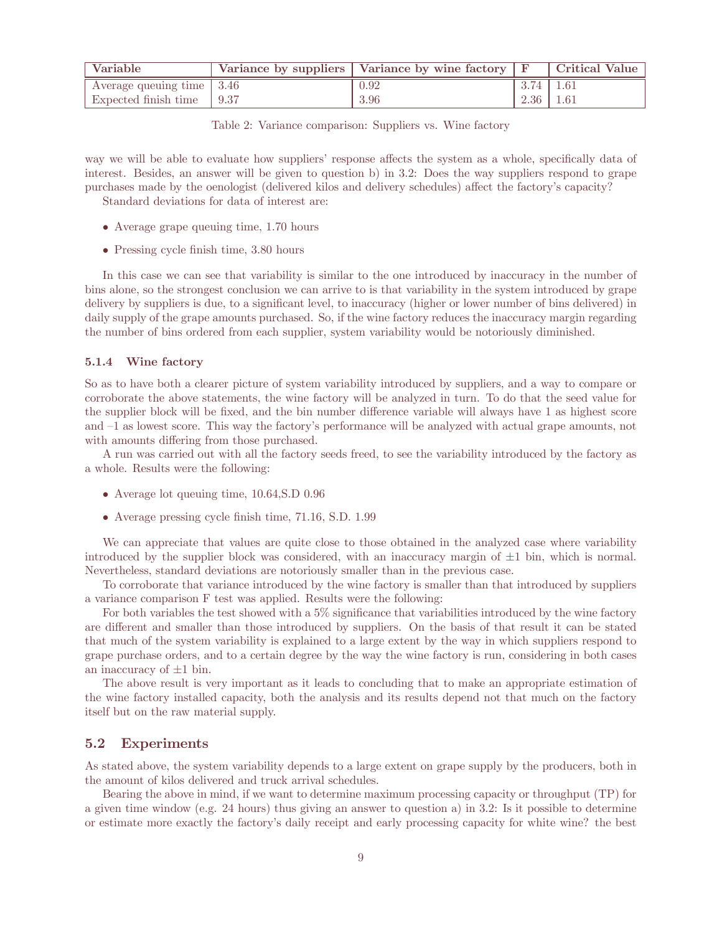| Variable                    | Variance by suppliers   Variance by wine factory $\mid$ F |                 | Critical Value |
|-----------------------------|-----------------------------------------------------------|-----------------|----------------|
| Average queuing time   3.46 | 0.92                                                      | $3.74$   1.61   |                |
| Expected finish time 19.37  | 3.96                                                      | $2.36 \pm 1.61$ |                |

| Table 2: Variance comparison: Suppliers vs. Wine factory |  |  |  |
|----------------------------------------------------------|--|--|--|
|----------------------------------------------------------|--|--|--|

way we will be able to evaluate how suppliers' response affects the system as a whole, specifically data of interest. Besides, an answer will be given to question b) in 3.2: Does the way suppliers respond to grape purchases made by the oenologist (delivered kilos and delivery schedules) affect the factory's capacity? Standard deviations for data of interest are:

- Average grape queuing time, 1.70 hours
- Pressing cycle finish time, 3.80 hours

In this case we can see that variability is similar to the one introduced by inaccuracy in the number of bins alone, so the strongest conclusion we can arrive to is that variability in the system introduced by grape delivery by suppliers is due, to a significant level, to inaccuracy (higher or lower number of bins delivered) in daily supply of the grape amounts purchased. So, if the wine factory reduces the inaccuracy margin regarding the number of bins ordered from each supplier, system variability would be notoriously diminished.

### 5.1.4 Wine factory

So as to have both a clearer picture of system variability introduced by suppliers, and a way to compare or corroborate the above statements, the wine factory will be analyzed in turn. To do that the seed value for the supplier block will be fixed, and the bin number difference variable will always have 1 as highest score and —1 as lowest score. This way the factory's performance will be analyzed with actual grape amounts, not with amounts differing from those purchased.

A run was carried out with all the factory seeds freed, to see the variability introduced by the factory as a whole. Results were the following:

- Average lot queuing time, 10.64,S.D 0.96
- Average pressing cycle finish time, 71.16, S.D. 1.99

We can appreciate that values are quite close to those obtained in the analyzed case where variability introduced by the supplier block was considered, with an inaccuracy margin of  $\pm 1$  bin, which is normal. Nevertheless, standard deviations are notoriously smaller than in the previous case.

To corroborate that variance introduced by the wine factory is smaller than that introduced by suppliers a variance comparison F test was applied. Results were the following:

For both variables the test showed with a 5% significance that variabilities introduced by the wine factory are different and smaller than those introduced by suppliers. On the basis of that result it can be stated that much of the system variability is explained to a large extent by the way in which suppliers respond to grape purchase orders, and to a certain degree by the way the wine factory is run, considering in both cases an inaccuracy of  $\pm 1$  bin.

The above result is very important as it leads to concluding that to make an appropriate estimation of the wine factory installed capacity, both the analysis and its results depend not that much on the factory itself but on the raw material supply.

#### 5.2 Experiments

As stated above, the system variability depends to a large extent on grape supply by the producers, both in the amount of kilos delivered and truck arrival schedules.

Bearing the above in mind, if we want to determine maximum processing capacity or throughput (TP) for a given time window (e.g. 24 hours) thus giving an answer to question a) in 3.2: Is it possible to determine or estimate more exactly the factory's daily receipt and early processing capacity for white wine? the best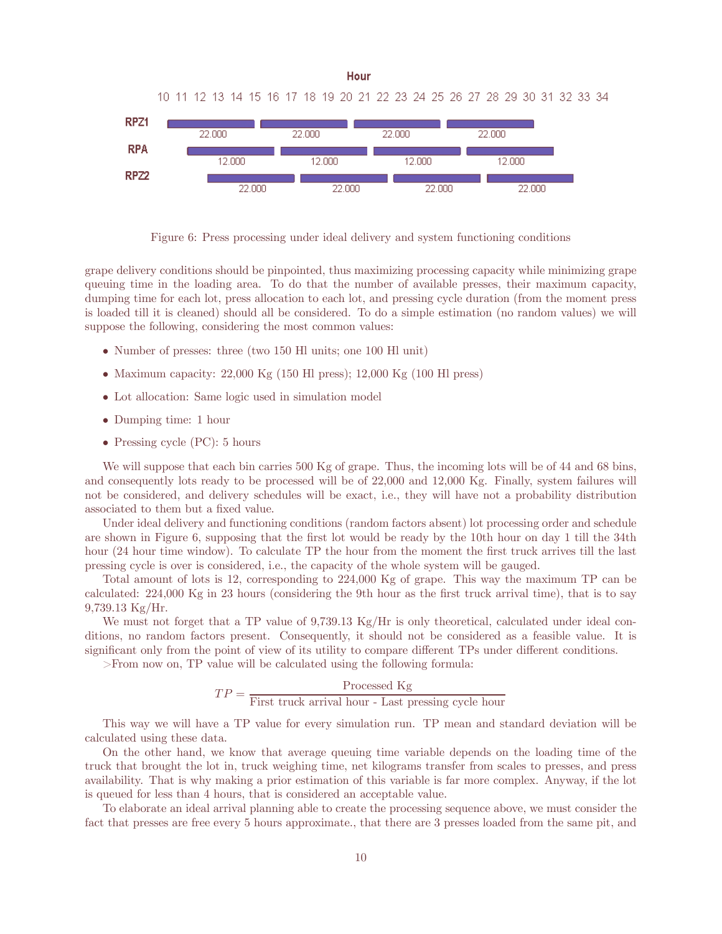

Figure 6: Press processing under ideal delivery and system functioning conditions

grape delivery conditions should be pinpointed, thus maximizing processing capacity while minimizing grape queuing time in the loading area. To do that the number of available presses, their maximum capacity, dumping time for each lot, press allocation to each lot, and pressing cycle duration (from the moment press is loaded till it is cleaned) should all be considered. To do a simple estimation (no random values) we will suppose the following, considering the most common values:

- Number of presses: three (two 150 Hl units; one 100 Hl unit)
- Maximum capacity:  $22,000$  Kg (150 Hl press);  $12,000$  Kg (100 Hl press)
- Lot allocation: Same logic used in simulation model
- Dumping time: 1 hour
- Pressing cycle (PC): 5 hours

We will suppose that each bin carries 500 Kg of grape. Thus, the incoming lots will be of 44 and 68 bins, and consequently lots ready to be processed will be of 22,000 and 12,000 Kg. Finally, system failures will not be considered, and delivery schedules will be exact, i.e., they will have not a probability distribution associated to them but a fixed value.

Under ideal delivery and functioning conditions (random factors absent) lot processing order and schedule are shown in Figure 6, supposing that the first lot would be ready by the 10th hour on day 1 till the 34th hour (24 hour time window). To calculate TP the hour from the moment the first truck arrives till the last pressing cycle is over is considered, i.e., the capacity of the whole system will be gauged.

Total amount of lots is 12, corresponding to 224,000 Kg of grape. This way the maximum TP can be calculated: 224,000 Kg in 23 hours (considering the 9th hour as the first truck arrival time), that is to say 9,739.13 Kg/Hr.

We must not forget that a TP value of 9,739.13 Kg/Hr is only theoretical, calculated under ideal conditions, no random factors present. Consequently, it should not be considered as a feasible value. It is significant only from the point of view of its utility to compare different TPs under different conditions.

>From now on, TP value will be calculated using the following formula:

$$
TP = \frac{\text{Processed Kg}}{\text{First truck arrival hour - Last pressing cycle hour}}
$$

This way we will have a TP value for every simulation run. TP mean and standard deviation will be calculated using these data.

On the other hand, we know that average queuing time variable depends on the loading time of the truck that brought the lot in, truck weighing time, net kilograms transfer from scales to presses, and press availability. That is why making a prior estimation of this variable is far more complex. Anyway, if the lot is queued for less than 4 hours, that is considered an acceptable value.

To elaborate an ideal arrival planning able to create the processing sequence above, we must consider the fact that presses are free every 5 hours approximate., that there are 3 presses loaded from the same pit, and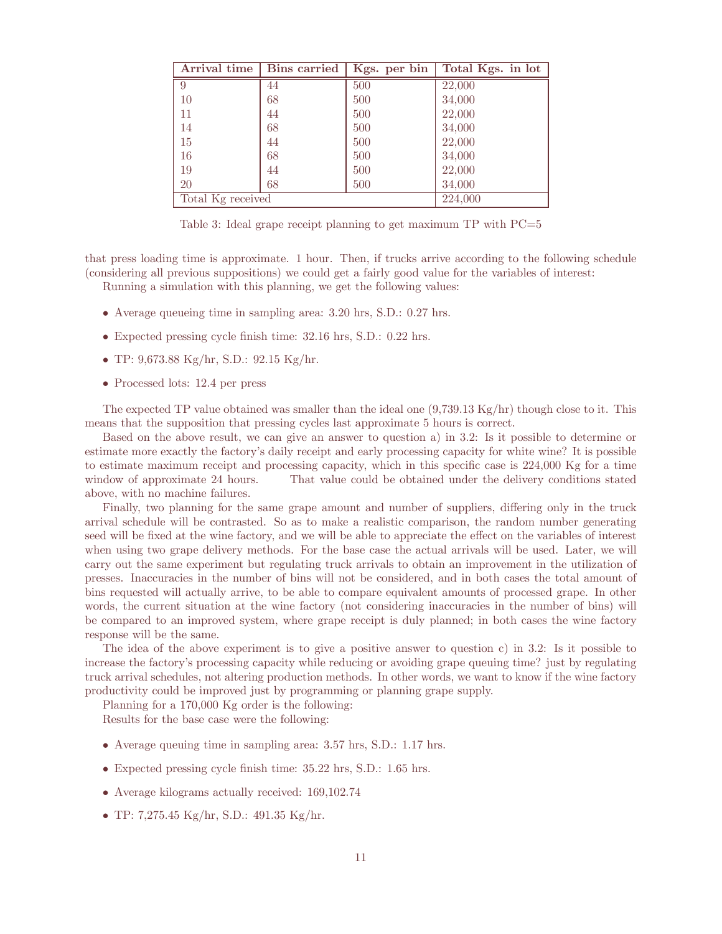| Arrival time      | <b>Bins</b> carried | Kgs. per bin | Total Kgs. in lot |
|-------------------|---------------------|--------------|-------------------|
| 9                 | 44                  | 500          | 22,000            |
| 10                | 68                  | 500          | 34,000            |
| 11                | 44                  | 500          | 22,000            |
| 14                | 68                  | 500          | 34,000            |
| 15                | 44                  | 500          | 22,000            |
| 16                | 68                  | 500          | 34,000            |
| 19                | 44                  | 500          | 22,000            |
| <b>20</b>         | 68                  | 500          | 34,000            |
| Total Kg received |                     |              | 224,000           |

Table 3: Ideal grape receipt planning to get maximum TP with  $PC=5$ 

that press loading time is approximate. 1 hour. Then, if trucks arrive according to the following schedule (considering all previous suppositions) we could get a fairly good value for the variables of interest:

Running a simulation with this planning, we get the following values:

- Average queueing time in sampling area: 3.20 hrs, S.D.: 0.27 hrs.
- Expected pressing cycle finish time: 32.16 hrs, S.D.: 0.22 hrs.
- TP: 9,673.88 Kg/hr, S.D.: 92.15 Kg/hr.
- Processed lots: 12.4 per press

The expected TP value obtained was smaller than the ideal one (9,739.13 Kg/hr) though close to it. This means that the supposition that pressing cycles last approximate 5 hours is correct.

Based on the above result, we can give an answer to question a) in 3.2: Is it possible to determine or estimate more exactly the factory's daily receipt and early processing capacity for white wine? It is possible to estimate maximum receipt and processing capacity, which in this specific case is 224,000 Kg for a time window of approximate 24 hours. That value could be obtained under the delivery conditions stated above, with no machine failures.

Finally, two planning for the same grape amount and number of suppliers, differing only in the truck arrival schedule will be contrasted. So as to make a realistic comparison, the random number generating seed will be fixed at the wine factory, and we will be able to appreciate the effect on the variables of interest when using two grape delivery methods. For the base case the actual arrivals will be used. Later, we will carry out the same experiment but regulating truck arrivals to obtain an improvement in the utilization of presses. Inaccuracies in the number of bins will not be considered, and in both cases the total amount of bins requested will actually arrive, to be able to compare equivalent amounts of processed grape. In other words, the current situation at the wine factory (not considering inaccuracies in the number of bins) will be compared to an improved system, where grape receipt is duly planned; in both cases the wine factory response will be the same.

The idea of the above experiment is to give a positive answer to question c) in 3.2: Is it possible to increase the factory's processing capacity while reducing or avoiding grape queuing time? just by regulating truck arrival schedules, not altering production methods. In other words, we want to know if the wine factory productivity could be improved just by programming or planning grape supply.

Planning for a 170,000 Kg order is the following:

Results for the base case were the following:

- Average queuing time in sampling area: 3.57 hrs, S.D.: 1.17 hrs.
- Expected pressing cycle finish time: 35.22 hrs, S.D.: 1.65 hrs.
- Average kilograms actually received: 169,102.74
- TP: 7,275.45 Kg/hr, S.D.: 491.35 Kg/hr.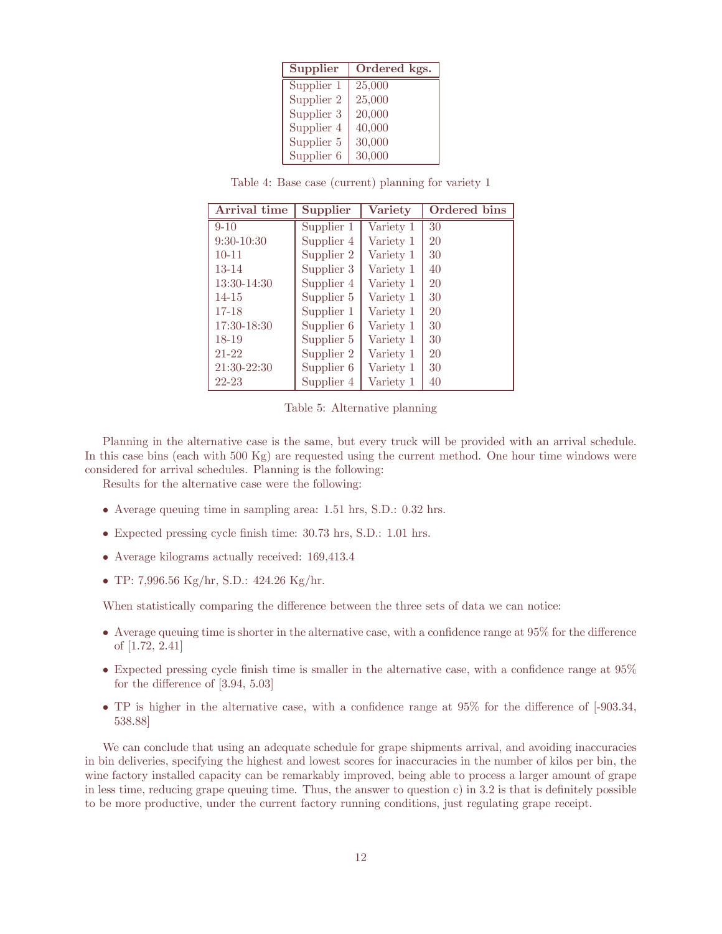| Supplier   | Ordered kgs. |  |  |
|------------|--------------|--|--|
| Supplier 1 | 25,000       |  |  |
| Supplier 2 | 25,000       |  |  |
| Supplier 3 | 20,000       |  |  |
| Supplier 4 | 40,000       |  |  |
| Supplier 5 | 30,000       |  |  |
| Supplier 6 | 30,000       |  |  |

Table 4: Base case (current) planning for variety 1

| Arrival time | Supplier   | <b>Variety</b> | Ordered bins |
|--------------|------------|----------------|--------------|
| $9 - 10$     | Supplier 1 | Variety 1      | 30           |
| $9:30-10:30$ | Supplier 4 | Variety 1      | 20           |
| $10 - 11$    | Supplier 2 | Variety 1      | 30           |
| $13 - 14$    | Supplier 3 | Variety 1      | 40           |
| 13:30-14:30  | Supplier 4 | Variety 1      | 20           |
| $14 - 15$    | Supplier 5 | Variety 1      | 30           |
| $17 - 18$    | Supplier 1 | Variety 1      | 20           |
| 17:30-18:30  | Supplier 6 | Variety 1      | 30           |
| $18-19$      | Supplier 5 | Variety 1      | 30           |
| $21 - 22$    | Supplier 2 | Variety 1      | 20           |
| 21:30-22:30  | Supplier 6 | Variety 1      | 30           |
| $22 - 23$    | Supplier 4 | Variety 1      | 40           |

Table 5: Alternative planning

Planning in the alternative case is the same, but every truck will be provided with an arrival schedule. In this case bins (each with 500 Kg) are requested using the current method. One hour time windows were considered for arrival schedules. Planning is the following:

Results for the alternative case were the following:

- Average queuing time in sampling area: 1.51 hrs, S.D.: 0.32 hrs.
- Expected pressing cycle finish time: 30.73 hrs, S.D.: 1.01 hrs.
- Average kilograms actually received: 169,413.4
- TP: 7,996.56 Kg/hr, S.D.: 424.26 Kg/hr.

When statistically comparing the difference between the three sets of data we can notice:

- Average queuing time is shorter in the alternative case, with a confidence range at  $95\%$  for the difference of [1.72, 2.41]
- Expected pressing cycle finish time is smaller in the alternative case, with a confidence range at  $95\%$ for the difference of  $[3.94, 5.03]$
- TP is higher in the alternative case, with a confidence range at  $95\%$  for the difference of  $[-903.34,$ 538.88]

We can conclude that using an adequate schedule for grape shipments arrival, and avoiding inaccuracies in bin deliveries, specifying the highest and lowest scores for inaccuracies in the number of kilos per bin, the wine factory installed capacity can be remarkably improved, being able to process a larger amount of grape in less time, reducing grape queuing time. Thus, the answer to question c) in 3.2 is that is definitely possible to be more productive, under the current factory running conditions, just regulating grape receipt.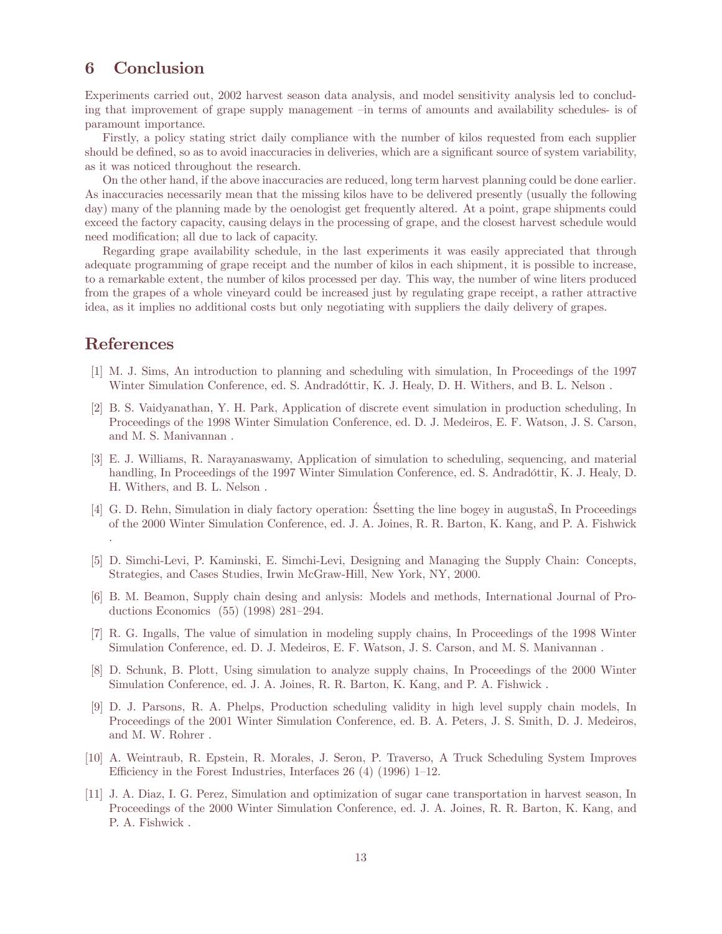# 6 Conclusion

Experiments carried out, 2002 harvest season data analysis, and model sensitivity analysis led to concluding that improvement of grape supply management —in terms of amounts and availability schedules- is of paramount importance.

Firstly, a policy stating strict daily compliance with the number of kilos requested from each supplier should be defined, so as to avoid inaccuracies in deliveries, which are a significant source of system variability, as it was noticed throughout the research.

On the other hand, if the above inaccuracies are reduced, long term harvest planning could be done earlier. As inaccuracies necessarily mean that the missing kilos have to be delivered presently (usually the following day) many of the planning made by the oenologist get frequently altered. At a point, grape shipments could exceed the factory capacity, causing delays in the processing of grape, and the closest harvest schedule would need modification; all due to lack of capacity.

Regarding grape availability schedule, in the last experiments it was easily appreciated that through adequate programming of grape receipt and the number of kilos in each shipment, it is possible to increase, to a remarkable extent, the number of kilos processed per day. This way, the number of wine liters produced from the grapes of a whole vineyard could be increased just by regulating grape receipt, a rather attractive idea, as it implies no additional costs but only negotiating with suppliers the daily delivery of grapes.

# References

.

- [1] M. J. Sims, An introduction to planning and scheduling with simulation, In Proceedings of the 1997 Winter Simulation Conference, ed. S. Andradóttir, K. J. Healy, D. H. Withers, and B. L. Nelson .
- [2] B. S. Vaidyanathan, Y. H. Park, Application of discrete event simulation in production scheduling, In Proceedings of the 1998 Winter Simulation Conference, ed. D. J. Medeiros, E. F. Watson, J. S. Carson, and M. S. Manivannan .
- [3] E. J. Williams, R. Narayanaswamy, Application of simulation to scheduling, sequencing, and material handling, In Proceedings of the 1997 Winter Simulation Conference, ed. S. Andradóttir, K. J. Healy, D. H. Withers, and B. L. Nelson .
- [4] G. D. Rehn, Simulation in dialy factory operation: Ssetting the line bogey in augustaS, In Proceedings of the 2000 Winter Simulation Conference, ed. J. A. Joines, R. R. Barton, K. Kang, and P. A. Fishwick
- [5] D. Simchi-Levi, P. Kaminski, E. Simchi-Levi, Designing and Managing the Supply Chain: Concepts, Strategies, and Cases Studies, Irwin McGraw-Hill, New York, NY, 2000.
- [6] B. M. Beamon, Supply chain desing and anlysis: Models and methods, International Journal of Productions Economics (55) (1998) 281—294.
- [7] R. G. Ingalls, The value of simulation in modeling supply chains, In Proceedings of the 1998 Winter Simulation Conference, ed. D. J. Medeiros, E. F. Watson, J. S. Carson, and M. S. Manivannan .
- [8] D. Schunk, B. Plott, Using simulation to analyze supply chains, In Proceedings of the 2000 Winter Simulation Conference, ed. J. A. Joines, R. R. Barton, K. Kang, and P. A. Fishwick .
- [9] D. J. Parsons, R. A. Phelps, Production scheduling validity in high level supply chain models, In Proceedings of the 2001 Winter Simulation Conference, ed. B. A. Peters, J. S. Smith, D. J. Medeiros, and M. W. Rohrer .
- [10] A. Weintraub, R. Epstein, R. Morales, J. Seron, P. Traverso, A Truck Scheduling System Improves Efficiency in the Forest Industries, Interfaces  $26(4)(1996)$  1–12.
- [11] J. A. Diaz, I. G. Perez, Simulation and optimization of sugar cane transportation in harvest season, In Proceedings of the 2000 Winter Simulation Conference, ed. J. A. Joines, R. R. Barton, K. Kang, and P. A. Fishwick .